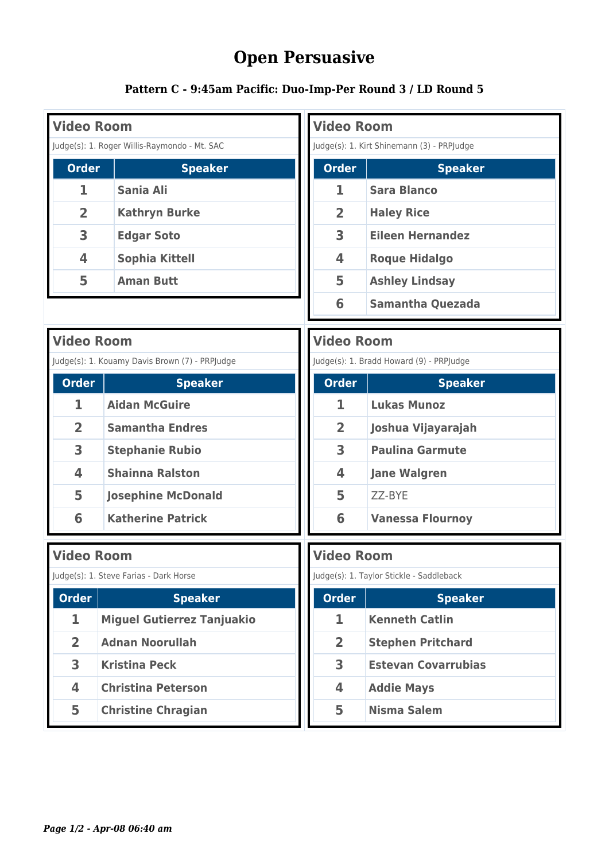## **Open Persuasive**

## **Pattern C - 9:45am Pacific: Duo-Imp-Per Round 3 / LD Round 5**

| <b>Video Room</b>                            |                                                |  | <b>Video Room</b>                          |                            |  |  |
|----------------------------------------------|------------------------------------------------|--|--------------------------------------------|----------------------------|--|--|
| Judge(s): 1. Roger Willis-Raymondo - Mt. SAC |                                                |  | Judge(s): 1. Kirt Shinemann (3) - PRPJudge |                            |  |  |
| <b>Order</b>                                 | <b>Speaker</b>                                 |  | <b>Order</b>                               | <b>Speaker</b>             |  |  |
| 1                                            | Sania Ali                                      |  | 1                                          | <b>Sara Blanco</b>         |  |  |
| $\overline{2}$                               | <b>Kathryn Burke</b>                           |  | $\overline{2}$                             | <b>Haley Rice</b>          |  |  |
| 3                                            | <b>Edgar Soto</b>                              |  | 3                                          | <b>Eileen Hernandez</b>    |  |  |
| 4                                            | <b>Sophia Kittell</b>                          |  | 4                                          | <b>Roque Hidalgo</b>       |  |  |
| 5                                            | <b>Aman Butt</b>                               |  | 5                                          | <b>Ashley Lindsay</b>      |  |  |
|                                              |                                                |  | 6                                          | <b>Samantha Quezada</b>    |  |  |
|                                              | <b>Video Room</b>                              |  |                                            | <b>Video Room</b>          |  |  |
|                                              | Judge(s): 1. Kouamy Davis Brown (7) - PRPJudge |  | Judge(s): 1. Bradd Howard (9) - PRPJudge   |                            |  |  |
| <b>Order</b>                                 | <b>Speaker</b>                                 |  | <b>Order</b>                               | <b>Speaker</b>             |  |  |
| 1                                            | <b>Aidan McGuire</b>                           |  | 1                                          | <b>Lukas Munoz</b>         |  |  |
| $\overline{2}$                               | <b>Samantha Endres</b>                         |  | $\overline{2}$                             | Joshua Vijayarajah         |  |  |
| 3                                            | <b>Stephanie Rubio</b>                         |  | 3                                          | <b>Paulina Garmute</b>     |  |  |
| $\overline{\mathbf{4}}$                      | <b>Shainna Ralston</b>                         |  | 4                                          | <b>Jane Walgren</b>        |  |  |
| 5                                            | <b>Josephine McDonald</b>                      |  | 5                                          | ZZ-BYE                     |  |  |
| 6                                            | <b>Katherine Patrick</b>                       |  | 6                                          | <b>Vanessa Flournoy</b>    |  |  |
|                                              | <b>Video Room</b>                              |  |                                            | <b>Video Room</b>          |  |  |
|                                              | Judge(s): 1. Steve Farias - Dark Horse         |  | Judge(s): 1. Taylor Stickle - Saddleback   |                            |  |  |
| <b>Order</b>                                 | <b>Speaker</b>                                 |  | <b>Order</b>                               | <b>Speaker</b>             |  |  |
| 1                                            | <b>Miguel Gutierrez Tanjuakio</b>              |  | 1                                          | <b>Kenneth Catlin</b>      |  |  |
| $\overline{2}$                               | <b>Adnan Noorullah</b>                         |  | $\overline{2}$                             | <b>Stephen Pritchard</b>   |  |  |
| $\overline{\mathbf{3}}$                      | <b>Kristina Peck</b>                           |  | $\overline{\mathbf{3}}$                    | <b>Estevan Covarrubias</b> |  |  |
| 4                                            | <b>Christina Peterson</b>                      |  | 4                                          | <b>Addie Mays</b>          |  |  |
| 5                                            | <b>Christine Chragian</b>                      |  | 5                                          | <b>Nisma Salem</b>         |  |  |